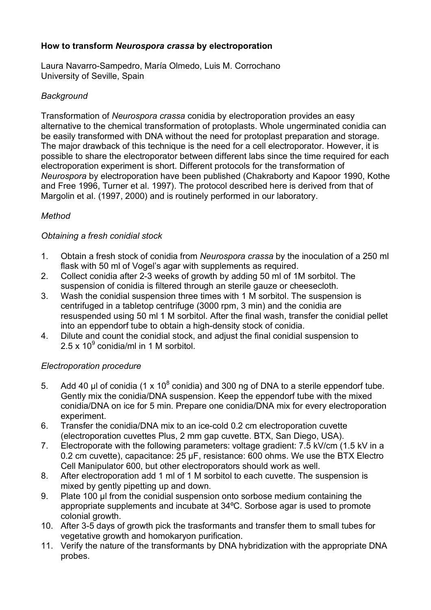## **How to transform** *Neurospora crassa* **by electroporation**

Laura Navarro-Sampedro, María Olmedo, Luis M. Corrochano University of Seville, Spain

## *Background*

Transformation of *Neurospora crassa* conidia by electroporation provides an easy alternative to the chemical transformation of protoplasts. Whole ungerminated conidia can be easily transformed with DNA without the need for protoplast preparation and storage. The major drawback of this technique is the need for a cell electroporator. However, it is possible to share the electroporator between different labs since the time required for each electroporation experiment is short. Different protocols for the transformation of *Neurospora* by electroporation have been published (Chakraborty and Kapoor 1990, Kothe and Free 1996, Turner et al. 1997). The protocol described here is derived from that of Margolin et al. (1997, 2000) and is routinely performed in our laboratory.

# *Method*

### *Obtaining a fresh conidial stock*

- 1. Obtain a fresh stock of conidia from *Neurospora crassa* by the inoculation of a 250 ml flask with 50 ml of Vogel's agar with supplements as required.
- 2. Collect conidia after 2-3 weeks of growth by adding 50 ml of 1M sorbitol. The suspension of conidia is filtered through an sterile gauze or cheesecloth.
- 3. Wash the conidial suspension three times with 1 M sorbitol. The suspension is centrifuged in a tabletop centrifuge (3000 rpm, 3 min) and the conidia are resuspended using 50 ml 1 M sorbitol. After the final wash, transfer the conidial pellet into an eppendorf tube to obtain a high-density stock of conidia.
- 4. Dilute and count the conidial stock, and adjust the final conidial suspension to  $2.5 \times 10^9$  conidia/ml in 1 M sorbitol.

### *Electroporation procedure*

- 5. Add 40 µl of conidia (1 x  $10^8$  conidia) and 300 ng of DNA to a sterile eppendorf tube. Gently mix the conidia/DNA suspension. Keep the eppendorf tube with the mixed conidia/DNA on ice for 5 min. Prepare one conidia/DNA mix for every electroporation experiment.
- 6. Transfer the conidia/DNA mix to an ice-cold 0.2 cm electroporation cuvette (electroporation cuvettes Plus, 2 mm gap cuvette. BTX, San Diego, USA).
- 7. Electroporate with the following parameters: voltage gradient: 7.5 kV/cm (1.5 kV in a 0.2 cm cuvette), capacitance: 25 µF, resistance: 600 ohms. We use the BTX Electro Cell Manipulator 600, but other electroporators should work as well.
- 8. After electroporation add 1 ml of 1 M sorbitol to each cuvette. The suspension is mixed by gently pipetting up and down.
- 9. Plate 100 ul from the conidial suspension onto sorbose medium containing the appropriate supplements and incubate at 34ºC. Sorbose agar is used to promote colonial growth.
- 10. After 3-5 days of growth pick the trasformants and transfer them to small tubes for vegetative growth and homokaryon purification.
- 11. Verify the nature of the transformants by DNA hybridization with the appropriate DNA probes.